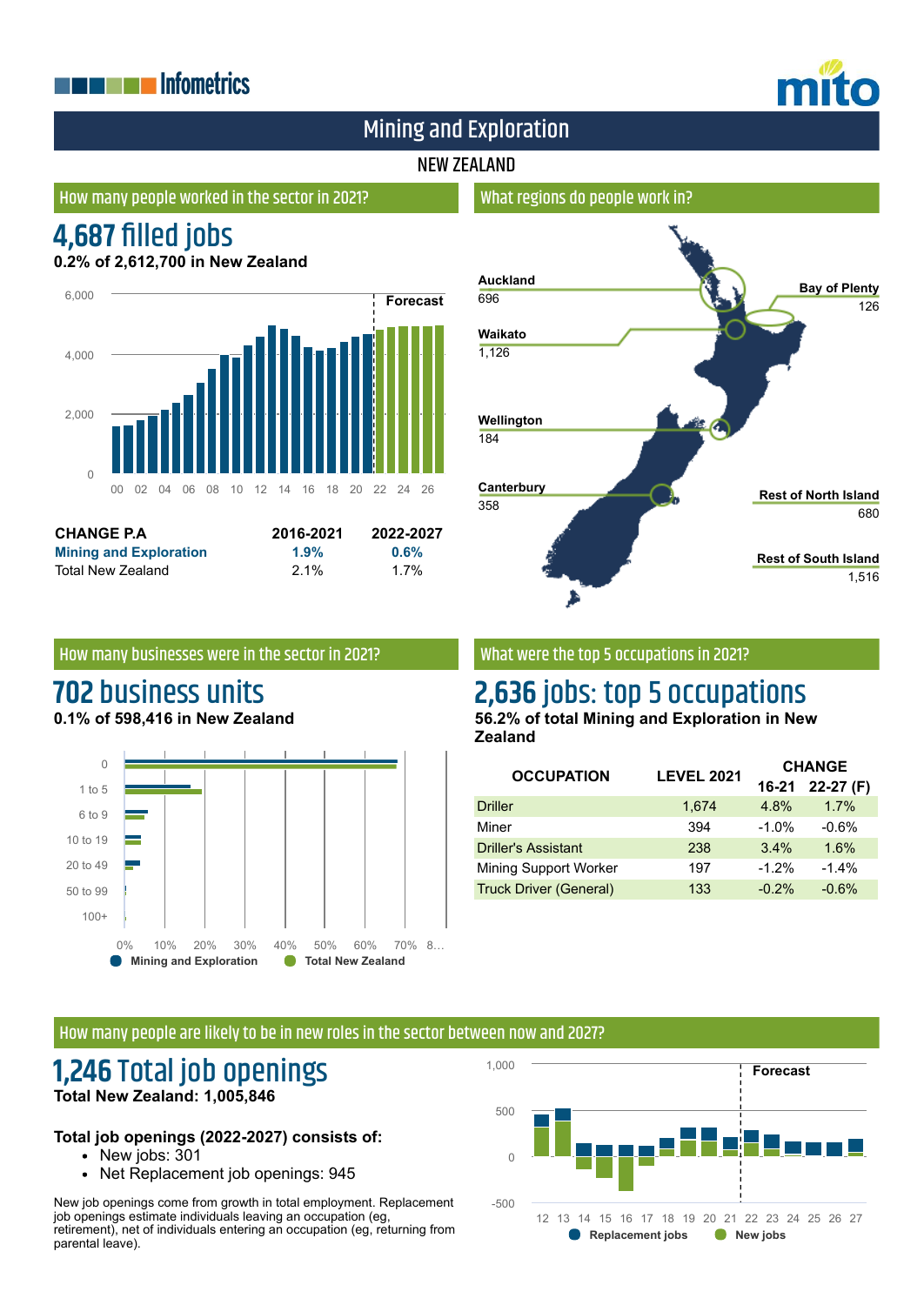# **THE EXPLOSITION ENERGY INC.**



**Rest of South Island**

1,516

# Mining and Exploration

## NEW ZEALAND

## How many people worked in the sector in 2021?

# **4,687 filled jobs**

**0.2% of 2,612,700 in New Zealand**



| <b>CHANGE P.A.</b>            | 2016-2021 | 2022-2027 |
|-------------------------------|-----------|-----------|
| <b>Mining and Exploration</b> | 1.9%      | 0.6%      |
| Total New Zealand             | $2.1\%$   | 1.7%      |

# **Auckland** 696 **Waikato** 1,126 **Wellington** 184 **Canterbury** 358 **Bay of Plenty** 126 **Rest of North Island** 680

## How many businesses were in the sector in 2021?

# **702** business units

**0.1% of 598,416 in New Zealand**



## What were the top 5 occupations in 2021?

What regions do people work in?

# **2,636** jobs: top 5 occupations

**56.2% of total Mining and Exploration in New Zealand**

| <b>OCCUPATION</b>             | <b>LEVEL 2021</b> | <b>CHANGE</b> |            |
|-------------------------------|-------------------|---------------|------------|
|                               |                   | 16-21         | $22-27(F)$ |
| <b>Driller</b>                | 1,674             | 4.8%          | 1.7%       |
| Miner                         | 394               | $-1.0%$       | $-0.6%$    |
| <b>Driller's Assistant</b>    | 238               | 3.4%          | 1.6%       |
| <b>Mining Support Worker</b>  | 197               | $-1.2%$       | $-1.4%$    |
| <b>Truck Driver (General)</b> | 133               | $-0.2%$       | $-0.6%$    |

#### How many people are likely to be in new roles in the sector between now and 2027?

# **1,246** Total job openings **Total New Zealand: 1,005,846**

### **Total job openings (2022-2027) consists of:**

- New jobs: 301
- Net Replacement job openings: 945

New job openings come from growth in total employment. Replacement job openings estimate individuals leaving an occupation (eg, retirement), net of individuals entering an occupation (eg, returning from parental leave).